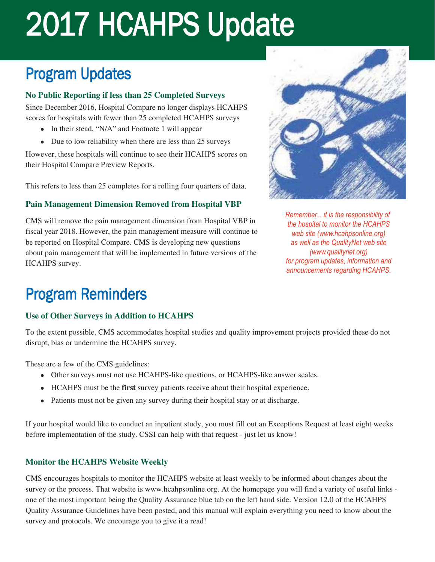# 2017 HCAHPS Update

## Program Updates

#### **No Public Reporting if less than 25 Completed Surveys**

Since December 2016, Hospital Compare no longer displays HCAHPS scores for hospitals with fewer than 25 completed HCAHPS surveys

- $\bullet$  In their stead, "N/A" and Footnote 1 will appear
- $\bullet$  Due to low reliability when there are less than 25 surveys

However, these hospitals will continue to see their HCAHPS scores on their Hospital Compare Preview Reports.

This refers to less than 25 completes for a rolling four quarters of data.

#### **Pain Management Dimension Removed from Hospital VBP**

CMS will remove the pain management dimension from Hospital VBP in fiscal year 2018. However, the pain management measure will continue to be reported on Hospital Compare. CMS is developing new questions about pain management that will be implemented in future versions of the HCAHPS survey.



*Remember... it is the responsibility of the hospital to monitor the HCAHPS web site (www.hcahpsonline.org) as well as the QualityNet web site (www.qualitynet.org) for program updates, information and announcements regarding HCAHPS.*

### Program Reminders

#### **Use of Other Surveys in Addition to HCAHPS**

To the extent possible, CMS accommodates hospital studies and quality improvement projects provided these do not disrupt, bias or undermine the HCAHPS survey.

These are a few of the CMS guidelines:

- Other surveys must not use HCAHPS-like questions, or HCAHPS-like answer scales.
- **ILCAHPS** must be the **first** survey patients receive about their hospital experience.
- Patients must not be given any survey during their hospital stay or at discharge.

If your hospital would like to conduct an inpatient study, you must fill out an Exceptions Request at least eight weeks before implementation of the study. CSSI can help with that request - just let us know!

#### **Monitor the HCAHPS Website Weekly**

CMS encourages hospitals to monitor the HCAHPS website at least weekly to be informed about changes about the survey or the process. That website is www.hcahpsonline.org. At the homepage you will find a variety of useful links one of the most important being the Quality Assurance blue tab on the left hand side. Version 12.0 of the HCAHPS Quality Assurance Guidelines have been posted, and this manual will explain everything you need to know about the survey and protocols. We encourage you to give it a read!